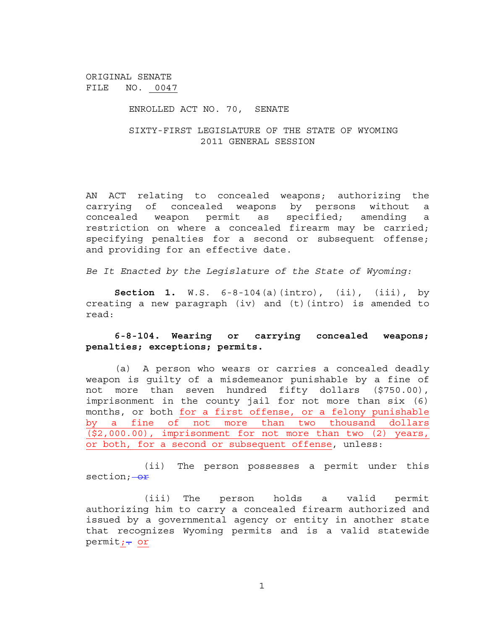ORIGINAL SENATE FILE NO. 0047

## ENROLLED ACT NO. 70, SENATE

## SIXTY-FIRST LEGISLATURE OF THE STATE OF WYOMING 2011 GENERAL SESSION

AN ACT relating to concealed weapons; authorizing the carrying of concealed weapons by persons without a concealed weapon permit as specified; amending a restriction on where a concealed firearm may be carried; specifying penalties for a second or subsequent offense; and providing for an effective date.

*Be It Enacted by the Legislature of the State of Wyoming:*

**Section 1.** W.S. 6-8-104(a)(intro), (ii), (iii), by creating a new paragraph (iv) and (t)(intro) is amended to read:

## **6-8-104. Wearing or carrying concealed weapons; penalties; exceptions; permits.**

(a) A person who wears or carries a concealed deadly weapon is guilty of a misdemeanor punishable by a fine of not more than seven hundred fifty dollars (\$750.00), imprisonment in the county jail for not more than six (6) months, or both for a first offense, or a felony punishable by a fine of not more than two thousand dollars (\$2,000.00), imprisonment for not more than two (2) years, or both, for a second or subsequent offense, unless:

(ii) The person possesses a permit under this section; - or

(iii) The person holds a valid permit authorizing him to carry a concealed firearm authorized and issued by a governmental agency or entity in another state that recognizes Wyoming permits and is a valid statewide permit; - or